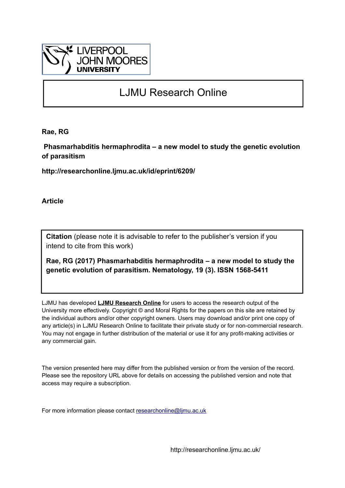

# LJMU Research Online

**Rae, RG**

 **Phasmarhabditis hermaphrodita – a new model to study the genetic evolution of parasitism**

**http://researchonline.ljmu.ac.uk/id/eprint/6209/**

**Article**

**Citation** (please note it is advisable to refer to the publisher's version if you intend to cite from this work)

**Rae, RG (2017) Phasmarhabditis hermaphrodita – a new model to study the genetic evolution of parasitism. Nematology, 19 (3). ISSN 1568-5411** 

LJMU has developed **[LJMU Research Online](http://researchonline.ljmu.ac.uk/)** for users to access the research output of the University more effectively. Copyright © and Moral Rights for the papers on this site are retained by the individual authors and/or other copyright owners. Users may download and/or print one copy of any article(s) in LJMU Research Online to facilitate their private study or for non-commercial research. You may not engage in further distribution of the material or use it for any profit-making activities or any commercial gain.

The version presented here may differ from the published version or from the version of the record. Please see the repository URL above for details on accessing the published version and note that access may require a subscription.

For more information please contact [researchonline@ljmu.ac.uk](mailto:researchonline@ljmu.ac.uk)

http://researchonline.ljmu.ac.uk/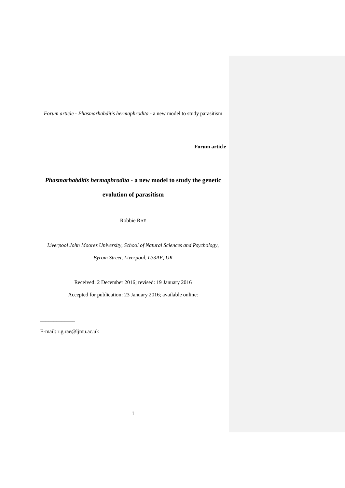*Forum article - Phasmarhabditis hermaphrodita* - a new model to study parasitism

**Forum article**

### *Phasmarhabditis hermaphrodita* **- a new model to study the genetic**

**evolution of parasitism**

Robbie RAE

*Liverpool John Moores University, School of Natural Sciences and Psychology, Byrom Street, Liverpool, L33AF, UK*

Received: 2 December 2016; revised: 19 January 2016

Accepted for publication: 23 January 2016; available online:

E-mail: r.g.rae@ljmu.ac.uk

\_\_\_\_\_\_\_\_\_\_\_\_\_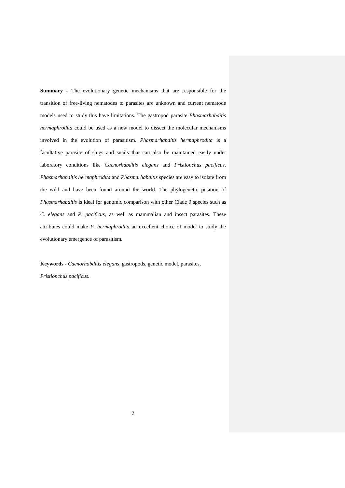**Summary -** The evolutionary genetic mechanisms that are responsible for the transition of free-living nematodes to parasites are unknown and current nematode models used to study this have limitations. The gastropod parasite *Phasmarhabditis hermaphrodita* could be used as a new model to dissect the molecular mechanisms involved in the evolution of parasitism. *Phasmarhabditis hermaphrodita* is a facultative parasite of slugs and snails that can also be maintained easily under laboratory conditions like *Caenorhabditis elegans* and *Pristionchus pacificus*. *Phasmarhabditis hermaphrodita* and *Phasmarhabditis* species are easy to isolate from the wild and have been found around the world. The phylogenetic position of *Phasmarhabditis* is ideal for genomic comparison with other Clade 9 species such as *C. elegans* and *P. pacificus*, as well as mammalian and insect parasites. These attributes could make *P. hermaphrodita* an excellent choice of model to study the evolutionary emergence of parasitism.

**Keywords -** *Caenorhabditis elegans,* gastropods, genetic model, parasites, *Pristionchus pacificus.*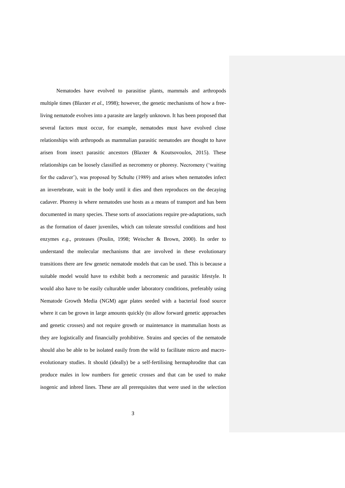Nematodes have evolved to parasitise plants, mammals and arthropods multiple times (Blaxter *et al*., 1998); however, the genetic mechanisms of how a freeliving nematode evolves into a parasite are largely unknown. It has been proposed that several factors must occur, for example, nematodes must have evolved close relationships with arthropods as mammalian parasitic nematodes are thought to have arisen from insect parasitic ancestors (Blaxter & Koutsovoulos, 2015). These relationships can be loosely classified as necromeny or phoresy. Necromeny ('waiting for the cadaver'), was proposed by Schulte (1989) and arises when nematodes infect an invertebrate, wait in the body until it dies and then reproduces on the decaying cadaver. Phoresy is where nematodes use hosts as a means of transport and has been documented in many species. These sorts of associations require pre-adaptations, such as the formation of dauer juveniles, which can tolerate stressful conditions and host enzymes *e.g*., proteases (Poulin, 1998; Weischer & Brown, 2000). In order to understand the molecular mechanisms that are involved in these evolutionary transitions there are few genetic nematode models that can be used. This is because a suitable model would have to exhibit both a necromenic and parasitic lifestyle. It would also have to be easily culturable under laboratory conditions, preferably using Nematode Growth Media (NGM) agar plates seeded with a bacterial food source where it can be grown in large amounts quickly (to allow forward genetic approaches and genetic crosses) and not require growth or maintenance in mammalian hosts as they are logistically and financially prohibitive. Strains and species of the nematode should also be able to be isolated easily from the wild to facilitate micro and macroevolutionary studies. It should (ideally) be a self-fertilising hermaphrodite that can produce males in low numbers for genetic crosses and that can be used to make isogenic and inbred lines. These are all prerequisites that were used in the selection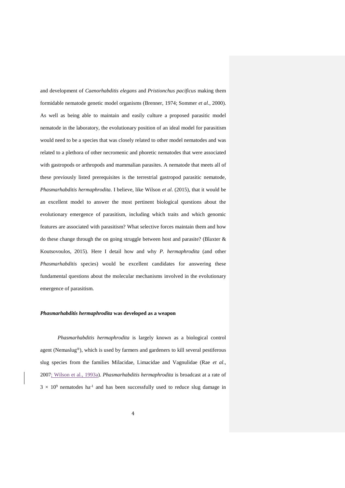and development of *Caenorhabditis elegans* and *Pristionchus pacificus* making them formidable nematode genetic model organisms (Brenner, 1974; Sommer *et al*., 2000). As well as being able to maintain and easily culture a proposed parasitic model nematode in the laboratory, the evolutionary position of an ideal model for parasitism would need to be a species that was closely related to other model nematodes and was related to a plethora of other necromenic and phoretic nematodes that were associated with gastropods or arthropods and mammalian parasites. A nematode that meets all of these previously listed prerequisites is the terrestrial gastropod parasitic nematode, *Phasmarhabditis hermaphrodita.* I believe, like Wilson *et al*. (2015), that it would be an excellent model to answer the most pertinent biological questions about the evolutionary emergence of parasitism, including which traits and which genomic features are associated with parasitism? What selective forces maintain them and how do these change through the on going struggle between host and parasite? (Blaxter & Koutsovoulos, 2015). Here I detail how and why *P. hermaphrodita* (and other *Phasmarhabditis* species) would be excellent candidates for answering these fundamental questions about the molecular mechanisms involved in the evolutionary emergence of parasitism.

#### *Phasmarhabditis hermaphrodita* **was developed as a weapon**

*Phasmarhabditis hermaphrodita* is largely known as a biological control agent (Nemaslug®), which is used by farmers and gardeners to kill several pestiferous slug species from the families Milacidae, Limacidae and Vagnulidae (Rae *et al*., 2007; Wilson et al., 1993a). *Phasmarhabditis hermaphrodita* is broadcast at a rate of  $3 \times 10^9$  nematodes ha<sup>-1</sup> and has been successfully used to reduce slug damage in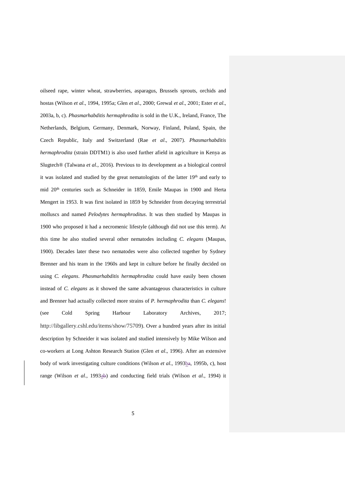oilseed rape, winter wheat, strawberries, asparagus, Brussels sprouts, orchids and hostas (Wilson *et al*., 1994, 1995a; Glen *et al*., 2000; Grewal *et al*., 2001; Ester *et al*., 2003a, b, c). *Phasmarhabditis hermaphrodita* is sold in the U.K., Ireland, France, The Netherlands, Belgium, Germany, Denmark, Norway, Finland, Poland, Spain, the Czech Republic, Italy and Switzerland (Rae *et al*., 2007). *Phasmarhabditis hermaphrodita* (strain DDTM1) is also used further afield in agriculture in Kenya as Slugtech® (Talwana *et al*., 2016). Previous to its development as a biological control it was isolated and studied by the great nematologists of the latter 19<sup>th</sup> and early to mid 20<sup>th</sup> centuries such as Schneider in 1859, Emile Maupas in 1900 and Herta Mengert in 1953. It was first isolated in 1859 by Schneider from decaying terrestrial molluscs and named *Pelodytes hermaphroditus*. It was then studied by Maupas in 1900 who proposed it had a necromenic lifestyle (although did not use this term). At this time he also studied several other nematodes including *C. elegans* (Maupas, 1900). Decades later these two nematodes were also collected together by Sydney Brenner and his team in the 1960s and kept in culture before he finally decided on using *C. elegans*. *Phasmarhabditis hermaphrodita* could have easily been chosen instead of *C. elegans* as it showed the same advantageous characteristics in culture and Brenner had actually collected more strains of *P. hermaphrodita* than *C. elegans*! (see Cold Spring Harbour Laboratory Archives, 2017; http://libgallery.cshl.edu/items/show/75709). Over a hundred years after its initial description by Schneider it was isolated and studied intensively by Mike Wilson and co-workers at Long Ashton Research Station (Glen *et al*., 1996). After an extensive body of work investigating culture conditions (Wilson *et al.*, 1993ba, 1995b, c), host range (Wilson *et al.*, 1993ab) and conducting field trials (Wilson *et al.*, 1994) it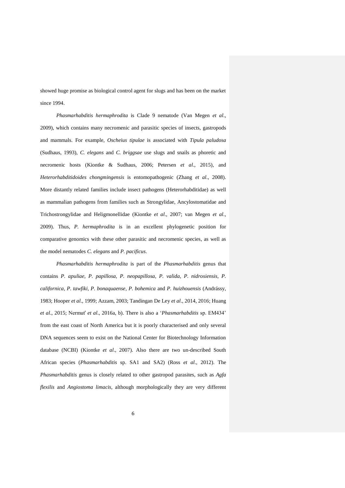showed huge promise as biological control agent for slugs and has been on the market since 1994.

*Phasmarhabditis hermaphrodita* is Clade 9 nematode (Van Megen *et al*., 2009), which contains many necromenic and parasitic species of insects, gastropods and mammals. For example, *Oscheius tipulae* is associated with *Tipula paludosa* (Sudhaus, 1993), *C. elegans* and *C. briggsae* use slugs and snails as phoretic and necromenic hosts (Kiontke & Sudhaus, 2006; Petersen *et al*., 2015), and *Heterorhabditidoides chongmingensis* is entomopathogenic (Zhang *et al*., 2008). More distantly related families include insect pathogens (Heterorhabditidae) as well as mammalian pathogens from families such as Strongylidae, Ancylostomatidae and Trichostrongylidae and Heligmonellidae (Kiontke *et al*., 2007; van Megen *et al*., 2009). Thus, *P. hermaphrodita* is in an excellent phylogenetic position for comparative genomics with these other parasitic and necromenic species, as well as the model nematodes *C. elegans* and *P. pacificus*.

*Phasmarhabditis hermaphrodita* is part of the *Phasmarhabditis* genus that contains *P. apuliae, P. papillosa, P. neopapillosa, P. valida, P. nidrosiensis, P. californica, P. tawfiki, P. bonaquaense*, *P. bohemica* and *P. huizhouensis* (Andrássy, 1983; Hooper *et al*., 1999; Azzam, 2003; Tandingan De Ley *et al*., 2014, 2016; Huang *et al*., 2015; Nermuť *et al*., 2016a, b). There is also a '*Phasmarhabditis* sp. EM434' from the east coast of North America but it is poorly characterised and only several DNA sequences seem to exist on the National Center for Biotechnology Information database (NCBI) (Kiontke *et al*., 2007). Also there are two un-described South African species (*Phasmarhabditis* sp. SA1 and SA2) (Ross *et al*., 2012). The *Phasmarhabditis* genus is closely related to other gastropod parasites, such as *Agfa flexilis* and *Angiostoma limacis*, although morphologically they are very different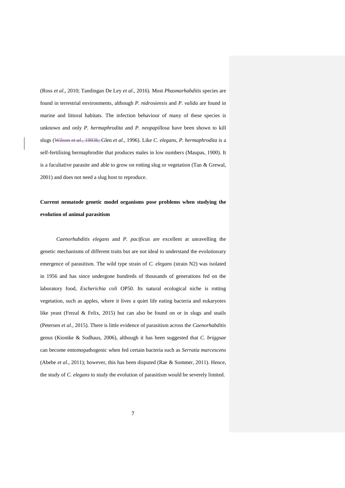(Ross *et al*., 2010; Tandingan De Ley *et al*., 2016). Most *Phasmarhabditis* species are found in terrestrial environments, although *P. nidrosiensis* and *P. valida* are found in marine and littoral habitats. The infection behaviour of many of these species is unknown and only *P. hermaphrodita* and *P. neopapillosa* have been shown to kill slugs (Wilson *et al*., 1993b; Glen *et al*., 1996). Like *C. elegans*, *P. hermaphrodita* is a self-fertilising hermaphrodite that produces males in low numbers (Maupas, 1900). It is a facultative parasite and able to grow on rotting slug or vegetation (Tan & Grewal, 2001) and does not need a slug host to reproduce.

## **Current nematode genetic model organisms pose problems when studying the evolution of animal parasitism**

*Caenorhabditis elegans* and *P. pacificus* are excellent at unravelling the genetic mechanisms of different traits but are not ideal to understand the evolutionary emergence of parasitism. The wild type strain of *C. elegans* (strain N2) was isolated in 1956 and has since undergone hundreds of thousands of generations fed on the laboratory food, *Escherichia coli* OP50. Its natural ecological niche is rotting vegetation, such as apples, where it lives a quiet life eating bacteria and eukaryotes like yeast (Frezal & Felix, 2015) but can also be found on or in slugs and snails (Petersen *et al*., 2015). There is little evidence of parasitism across the *Caenorhabditis*  genus (Kiontke & Sudhaus, 2006), although it has been suggested that *C. briggsae* can become entomopathogenic when fed certain bacteria such as *Serratia marcescens* (Abebe *et al*., 2011); however, this has been disputed (Rae & Sommer, 2011). Hence, the study of *C. elegans* to study the evolution of parasitism would be severely limited.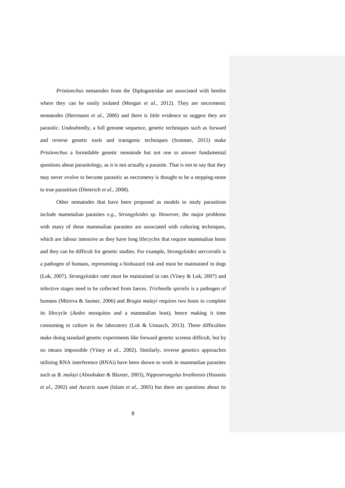*Pristionchus* nematodes from the Diplogastridae are associated with beetles where they can be easily isolated (Morgan *et al*., 2012). They are necromenic nematodes (Herrmann *et al*., 2006) and there is little evidence to suggest they are parasitic. Undoubtedly, a full genome sequence, genetic techniques such as forward and reverse genetic tools and transgenic techniques (Sommer, 2015) make *Pristionchus* a formidable genetic nematode but not one to answer fundamental questions about parasitology, as it is not actually a parasite. That is not to say that they may never evolve to become parasitic as necromeny is thought to be a stepping-stone to true parasitism (Dieterich *et al*., 2008).

Other nematodes that have been proposed as models to study parasitism include mammalian parasites *e.g*., *Strongyloides* sp. However, the major problems with many of these mammalian parasites are associated with culturing techniques, which are labour intensive as they have long lifecycles that require mammalian hosts and they can be difficult for genetic studies. For example, *Strongyloides stercoralis* is a pathogen of humans, representing a biohazard risk and must be maintained in dogs (Lok, 2007). *Strongyloides ratti* must be maintained in rats (Viney & Lok, 2007) and infective stages need to be collected from faeces. *Trichnella spiralis* is a pathogen of humans (Mitreva & Jasmer, 2006) and *Brugia malayi* requires two hosts to complete its lifecycle (*Aedes* mosquitos and a mammalian host), hence making it time consuming to culture in the laboratory (Lok & Unnasch, 2013). These difficulties make doing standard genetic experiments like forward genetic screens difficult, but by no means impossible (Viney *et al*., 2002). Similarly, reverse genetics approaches utilising RNA interference (RNAi) have been shown to work in mammalian parasites such as *B. malayi* (Aboobaker & Blaxter, 2003), *Nippostrongylus brailiensis* (Hussein *et al*., 2002) and *Ascaris suum* (Islam *et al*., 2005) but there are questions about its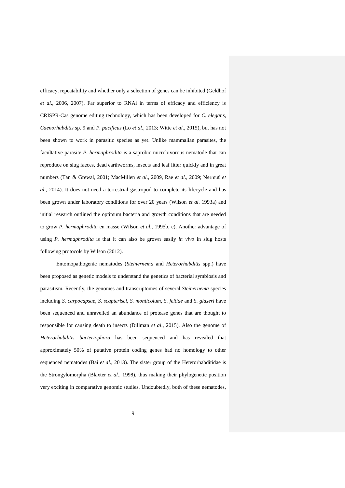efficacy, repeatability and whether only a selection of genes can be inhibited (Geldhof *et al*., 2006, 2007). Far superior to RNAi in terms of efficacy and efficiency is CRISPR-Cas genome editing technology, which has been developed for *C. elegans*, *Caenorhabditis* sp. 9 and *P. pacificus* (Lo *et al*., 2013; Witte *et al*., 2015), but has not been shown to work in parasitic species as yet. Unlike mammalian parasites, the facultative parasite *P. hermaphrodita* is a saprobic microbivorous nematode that can reproduce on slug faeces, dead earthworms, insects and leaf litter quickly and in great numbers (Tan & Grewal, 2001; MacMillen *et al*., 2009, Rae *et al*., 2009; Nermuť *et al*., 2014). It does not need a terrestrial gastropod to complete its lifecycle and has been grown under laboratory conditions for over 20 years (Wilson *et al*. 1993a) and initial research outlined the optimum bacteria and growth conditions that are needed to grow *P. hermaphrodita* en masse (Wilson *et al*., 1995b, c). Another advantage of using *P. hermaphrodita* is that it can also be grown easily *in vivo* in slug hosts following protocols by Wilson (2012).

Entomopathogenic nematodes (*Steinernema* and *Heterorhabditis* spp.) have been proposed as genetic models to understand the genetics of bacterial symbiosis and parasitism. Recently, the genomes and transcriptomes of several *Steinernema* species including *S. carpocapsae*, *S. scapterisci*, *S. monticolum*, *S. feltiae* and *S. glaseri* have been sequenced and unravelled an abundance of protease genes that are thought to responsible for causing death to insects (Dillman *et al*., 2015). Also the genome of *Heterorhabditis bacteriophora* has been sequenced and has revealed that approximately 50% of putative protein coding genes had no homology to other sequenced nematodes (Bai *et al*., 2013). The sister group of the Heterorhabditidae is the Strongylomorpha (Blaxter *et al*., 1998), thus making their phylogenetic position very exciting in comparative genomic studies. Undoubtedly, both of these nematodes,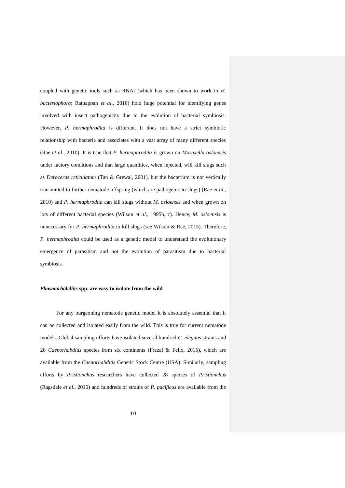coupled with genetic tools such as RNAi (which has been shown to work in *H. bacteriophora*; Ratnappan *et al*., 2016) hold huge potential for identifying genes involved with insect pathogenicity due to the evolution of bacterial symbiosis. However, *P. hermaphrodita* is different. It does not have a strict symbiotic relationship with bacteria and associates with a vast array of many different species (Rae *et al*., 2010). It is true that *P. hermaphrodita* is grown on *Moraxella osloensis* under factory conditions and that large quantities, when injected, will kill slugs such as *Deroceras reticulatum* (Tan & Grewal, 2001), but the bacterium is not vertically transmitted to further nematode offspring (which are pathogenic to slugs) (Rae *et al*., 2010) and *P. hermaphrodita* can kill slugs without *M. osloensis* and when grown on lots of different bacterial species (Wilson *et al*., 1995b, c). Hence, *M. osloensis* is unnecessary for *P. hermaphrodita* to kill slugs (see Wilson & Rae, 2015). Therefore, *P. hermaphrodita* could be used as a genetic model to understand the evolutionary emergence of parasitism and not the evolution of parasitism due to bacterial symbiosis.

#### *Phasmarhabditis* **spp. are easy to isolate from the wild**

For any burgeoning nematode genetic model it is absolutely essential that it can be collected and isolated easily from the wild. This is true for current nematode models. Global sampling efforts have isolated several hundred *C. elegans* strains and 26 *Caenorhabditis* species from six continents (Frezal & Felix, 2015), which are available from the *Caenorhabditis* Genetic Stock Centre (USA). Similarly, sampling efforts by *Pristionchus* researchers have collected 28 species of *Pristionchus*  (Ragsdale *et al*., 2015) and hundreds of strains of *P. pacificus* are available from the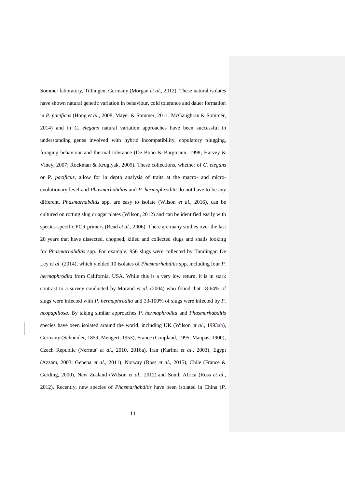Sommer laboratory, Tübingen, Germany (Morgan *et al*., 2012). These natural isolates have shown natural genetic variation in behaviour, cold tolerance and dauer formation in *P. pacificus* (Hong *et al*., 2008; Mayer & Sommer, 2011; McGaughran & Sommer, 2014) and in *C. elegans* natural variation approaches have been successful in understanding genes involved with hybrid incompatibility, copulatory plugging, foraging behaviour and thermal tolerance (De Bono & Bargmann, 1998; Harvey & Viney, 2007; Rockman & Kruglyak, 2009). These collections, whether of *C. elegans* or *P. pacificus*, allow for in depth analysis of traits at the macro- and microevolutionary level and *Phasmarhabditis* and *P. hermaphrodita* do not have to be any different. *Phasmarhabditis* spp. are easy to isolate (Wilson *et al*., 2016), can be cultured on rotting slug or agar plates (Wilson, 2012) and can be identified easily with species-specific PCR primers (Read *et al*., 2006). There are many studies over the last 20 years that have dissected, chopped, killed and collected slugs and snails looking for *Phasmarhabditis* spp. For example, 956 slugs were collected by Tandingan De Ley *et al*. (2014), which yielded 10 isolates of *Phasmarhabditis* spp, including four *P. hermaphrodita* from California, USA. While this is a very low return, it is in stark contrast to a survey conducted by Morand *et al*. (2004) who found that 18-64% of slugs were infected with *P. hermaphrodita* and 33-100% of slugs were infected by *P. neopapillosa*. By taking similar approaches *P. hermaphrodita* and *Phasmarhabditis* species have been isolated around the world, including UK (Wilson *et al.*, 1993ab), Germany (Schneider, 1859; Mengert, 1953), France (Coupland, 1995; Maupas, 1900), Czech Republic (Nermuť *et al*., 2010, 2016a), Iran (Karimi *et al*., 2003), Egypt (Azzam, 2003; Genena *et al*., 2011), Norway (Ross *et al*., 2015), Chile (France & Gerding, 2000), New Zealand (Wilson *et al*., 2012) and South Africa (Ross *et al*., 2012). Recently, new species of *Phasmarhabditis* have been isolated in China (*P.*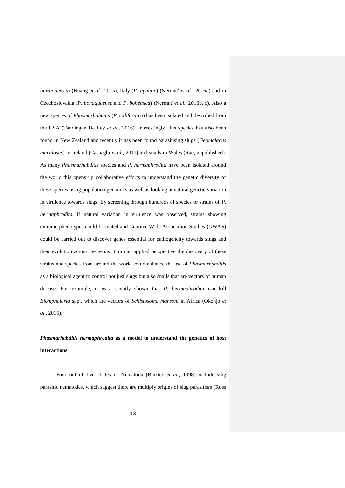*huizhouensis*) (Huang *et al*., 2015), Italy (*P. apuliae*) (Nermuť *et al*., 2016a) and in Czechoslovakia (*P. bonaquaense* and *P. bohemica*) (Nermuť *et al*., 2016b, c). Also a new species of *Phasmarhabditis* (*P. californica*) has been isolated and described from the USA (Tandingan De Ley *et al*., 2016). Interestingly, this species has also been found in New Zealand and recently it has been found parasitising slugs (*Geomalacus maculosus*) in Ireland (Carnaghi *et al*., 2017) and snails in Wales (Rae, unpublished). As many *Phasmarhabditis* species and *P. hermaphrodita* have been isolated around the world this opens up collaborative efforts to understand the genetic diversity of these species using population genomics as well as looking at natural genetic variation in virulence towards slugs. By screening through hundreds of species or strains of *P. hermaphrodita*, if natural variation in virulence was observed, strains showing extreme phenotypes could be mated and Genome Wide Association Studies (GWAS) could be carried out to discover genes essential for pathogencity towards slugs and their evolution across the genus. From an applied perspective the discovery of these strains and species from around the world could enhance the use of *Phasmarhabditis* as a biological agent to control not just slugs but also snails that are vectors of human disease. For example, it was recently shown that *P. hermaphrodita* can kill *Biomphalaria* spp., which are vectors of *Schistosoma mansoni* in Africa (Okonjo *et al*., 2015).

### *Phasmarhabditis hermaphrodita* **as a model to understand the genetics of host interactions**

Four out of five clades of Nematoda (Blaxter *et al*., 1998) include slug parasitic nematodes, which suggest there are multiply origins of slug parasitism (Ross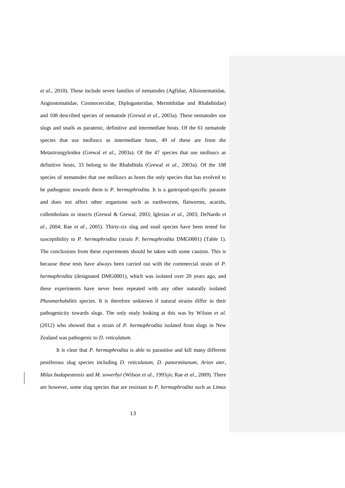*et al*., 2010). These include seven families of nematodes (Agfidae, Alloionematidae, Angiostomatidae, Cosmocercidae, Diplogasteridae, Mermithidae and Rhabditidae) and 108 described species of nematode (Grewal *et al*., 2003a). These nematodes use slugs and snails as paratenic, definitive and intermediate hosts. Of the 61 nematode species that use molluscs as intermediate hosts, 49 of these are from the Metastrongyloidea (Grewal *et al*., 2003a). Of the 47 species that use molluscs as definitive hosts, 33 belong to the Rhabditida (Grewal *et al*., 2003a). Of the 108 species of nematodes that use molluscs as hosts the only species that has evolved to be pathogenic towards them is *P. hermaphrodita.* It is a gastropod-specific parasite and does not affect other organisms such as earthworms, flatworms, acarids, collembolans or insects (Grewal & Grewal, 2003; Iglesias *et al*., 2003; DeNardo *et al*., 2004; Rae *et al*., 2005). Thirty-six slug and snail species have been tested for susceptibility to *P. hermaphrodita* (strain *P. hermaphrodita* DMG0001) (Table 1). The conclusions from these experiments should be taken with some caution. This is because these tests have always been carried out with the commercial strain of *P. hermaphrodita* (designated DMG0001), which was isolated over 20 years ago, and these experiments have never been repeated with any other naturally isolated *Phasmarhabditis* species. It is therefore unknown if natural strains differ in their pathogenicity towards slugs. The only study looking at this was by Wilson *et al*. (2012) who showed that a strain of *P. hermaphrodita* isolated from slugs in New Zealand was pathogenic to *D. reticulatum.*

It is clear that *P. hermaphrodita* is able to parasitise and kill many different pestiferous slug species including *D. reticulatum*, *D. panormitanum*, *Arion ater*, *Milax budapestensis* and *M. sowerbyi* (Wilson *et al*., 1993ab; Rae *et al*., 2009). There are however, some slug species that are resistant to *P. hermaphrodita* such as *Limax*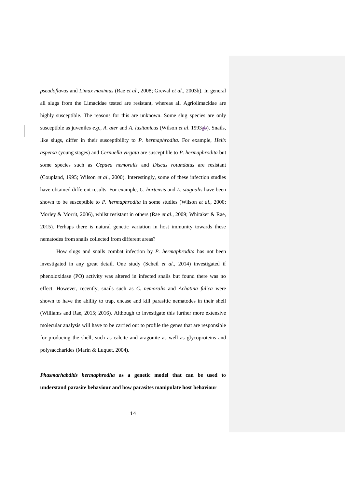*pseudoflavus* and *Limax maximus* (Rae *et al*., 2008; Grewal *et al*., 2003b). In general all slugs from the Limacidae tested are resistant, whereas all Agriolimacidae are highly susceptible. The reasons for this are unknown. Some slug species are only susceptible as juveniles *e.g.*, *A. ater* and *A. lusitanicus* (Wilson *et al.* 1993<sup>ab</sup>). Snails, like slugs, differ in their susceptibility to *P. hermaphrodita*. For example, *Helix aspersa* (young stages) and *Cernuella virgata* are susceptible to *P. hermaphrodita* but some species such as *Cepaea nemoralis* and *Discus rotundatus* are resistant (Coupland, 1995; Wilson *et al*., 2000). Interestingly, some of these infection studies have obtained different results. For example, *C. hortensis* and *L. stagnalis* have been shown to be susceptible to *P. hermaphrodita* in some studies (Wilson *et al*., 2000; Morley & Morrit, 2006), whilst resistant in others (Rae *et al*., 2009; Whitaker & Rae, 2015). Perhaps there is natural genetic variation in host immunity towards these nematodes from snails collected from different areas?

How slugs and snails combat infection by *P. hermaphrodita* has not been investigated in any great detail. One study (Scheil *et al*., 2014) investigated if phenoloxidase (PO) activity was altered in infected snails but found there was no effect. However, recently, snails such as *C. nemoralis* and *Achatina fulica* were shown to have the ability to trap, encase and kill parasitic nematodes in their shell (Williams and Rae, 2015; 2016). Although to investigate this further more extensive molecular analysis will have to be carried out to profile the genes that are responsible for producing the shell, such as calcite and aragonite as well as glycoproteins and polysaccharides (Marin & Luquet, 2004).

*Phasmarhabditis hermaphrodita* **as a genetic model that can be used to understand parasite behaviour and how parasites manipulate host behaviour**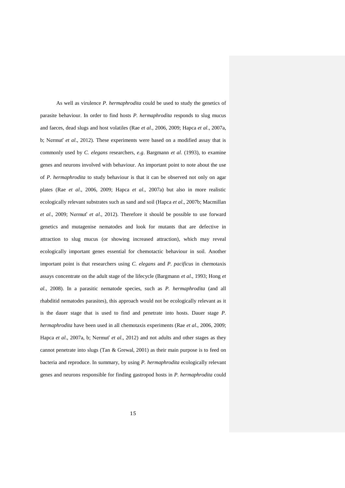As well as virulence *P. hermaphrodita* could be used to study the genetics of parasite behaviour. In order to find hosts *P. hermaphrodita* responds to slug mucus and faeces, dead slugs and host volatiles (Rae *et al*., 2006, 2009; Hapca *et al*., 2007a, b; Nermuť *et al*., 2012). These experiments were based on a modified assay that is commonly used by *C. elegans* researchers, *e.g*. Bargmann *et al*. (1993), to examine genes and neurons involved with behaviour. An important point to note about the use of *P. hermaphrodita* to study behaviour is that it can be observed not only on agar plates (Rae *et al*., 2006, 2009; Hapca *et al*., 2007a) but also in more realistic ecologically relevant substrates such as sand and soil (Hapca *et al*., 2007b; Macmillan *et al*., 2009; Nermuť *et al*., 2012). Therefore it should be possible to use forward genetics and mutagenise nematodes and look for mutants that are defective in attraction to slug mucus (or showing increased attraction), which may reveal ecologically important genes essential for chemotactic behaviour in soil. Another important point is that researchers using *C. elegans* and *P. pacificus* in chemotaxis assays concentrate on the adult stage of the lifecycle (Bargmann *et al*., 1993; Hong *et al*., 2008). In a parasitic nematode species, such as *P. hermaphrodita* (and all rhabditid nematodes parasites), this approach would not be ecologically relevant as it is the dauer stage that is used to find and penetrate into hosts. Dauer stage *P. hermaphrodita* have been used in all chemotaxis experiments (Rae *et al*., 2006, 2009; Hapca *et al*., 2007a, b; Nermuť *et al*., 2012) and not adults and other stages as they cannot penetrate into slugs (Tan & Grewal, 2001) as their main purpose is to feed on bacteria and reproduce. In summary, by using *P. hermaphrodita* ecologically relevant genes and neurons responsible for finding gastropod hosts in *P. hermaphrodita* could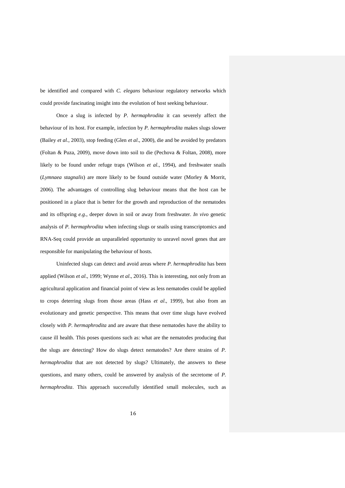be identified and compared with *C. elegans* behaviour regulatory networks which could provide fascinating insight into the evolution of host seeking behaviour.

Once a slug is infected by *P. hermaphrodita* it can severely affect the behaviour of its host. For example, infection by *P. hermaphrodita* makes slugs slower (Bailey *et al*., 2003), stop feeding (Glen *et al*., 2000), die and be avoided by predators (Foltan & Puza, 2009), move down into soil to die (Pechova & Foltan, 2008), more likely to be found under refuge traps (Wilson *et al*., 1994), and freshwater snails (*Lymnaea stagnalis*) are more likely to be found outside water (Morley & Morrit, 2006). The advantages of controlling slug behaviour means that the host can be positioned in a place that is better for the growth and reproduction of the nematodes and its offspring *e.g*., deeper down in soil or away from freshwater. *In vivo* genetic analysis of *P. hermaphrodita* when infecting slugs or snails using transcriptomics and RNA-Seq could provide an unparalleled opportunity to unravel novel genes that are responsible for manipulating the behaviour of hosts.

Uninfected slugs can detect and avoid areas where *P. hermaphrodita* has been applied (Wilson *et al*., 1999; Wynne *et al*., 2016). This is interesting, not only from an agricultural application and financial point of view as less nematodes could be applied to crops deterring slugs from those areas (Hass *et al*., 1999), but also from an evolutionary and genetic perspective. This means that over time slugs have evolved closely with *P. hermaphrodita* and are aware that these nematodes have the ability to cause ill health. This poses questions such as: what are the nematodes producing that the slugs are detecting? How do slugs detect nematodes? Are there strains of *P. hermaphrodita* that are not detected by slugs? Ultimately, the answers to these questions, and many others, could be answered by analysis of the secretome of *P. hermaphrodita*. This approach successfully identified small molecules, such as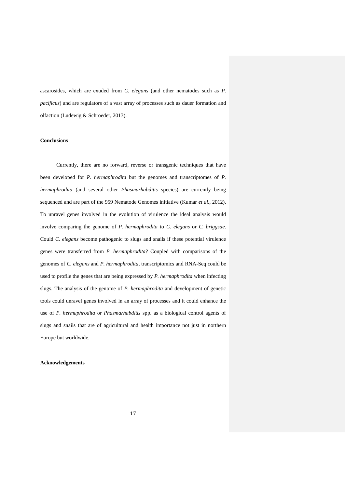ascarosides, which are exuded from *C. elegans* (and other nematodes such as *P. pacificus*) and are regulators of a vast array of processes such as dauer formation and olfaction (Ludewig & Schroeder, 2013).

#### **Conclusions**

Currently, there are no forward, reverse or transgenic techniques that have been developed for *P. hermaphrodita* but the genomes and transcriptomes of *P. hermaphrodita* (and several other *Phasmarhabditis* species) are currently being sequenced and are part of the 959 Nematode Genomes initiative (Kumar *et al*., 2012). To unravel genes involved in the evolution of virulence the ideal analysis would involve comparing the genome of *P. hermaphrodita* to *C. elegans* or *C. briggsae*. Could *C. elegans* become pathogenic to slugs and snails if these potential virulence genes were transferred from *P. hermaphrodita*? Coupled with comparisons of the genomes of *C. elegans* and *P. hermaphrodita*, transcriptomics and RNA-Seq could be used to profile the genes that are being expressed by *P. hermaphrodita* when infecting slugs. The analysis of the genome of *P. hermaphrodita* and development of genetic tools could unravel genes involved in an array of processes and it could enhance the use of *P. hermaphrodita* or *Phasmarhabditis* spp. as a biological control agents of slugs and snails that are of agricultural and health importance not just in northern Europe but worldwide.

#### **Acknowledgements**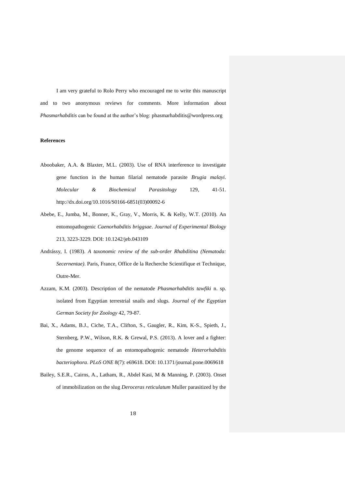I am very grateful to Rolo Perry who encouraged me to write this manuscript and to two anonymous reviews for comments. More information about *Phasmarhabditis* can be found at the author's blog: phasmarhabditis@wordpress.org

#### **References**

- Aboobaker, A.A. & Blaxter, M.L. (2003). Use of RNA interference to investigate gene function in the human filarial nematode parasite *Brugia malayi*. *Molecular & Biochemical Parasitology* 129, 41-51. http://dx.doi.org/10.1016/S0166-6851(03)00092-6
- Abebe, E., Jumba, M., Bonner, K., Gray, V., Morris, K. & Kelly, W.T. (2010). An entomopathogenic *Caenorhabditis briggsae*. *Journal of Experimental Biology* 213, 3223-3229. DOI: 10.1242/jeb.043109
- Andrássy, I. (1983). *A taxonomic review of the sub-order Rhabditina (Nematoda: Secernentae)*. Paris, France, Office de la Recherche Scientifique et Technique, Outre-Mer.
- Azzam, K.M. (2003). Description of the nematode *Phasmarhabditis tawfiki* n. sp. isolated from Egyptian terrestrial snails and slugs. *Journal of the Egyptian German Society for Zoology* 42, 79-87.
- Bai, X., Adams, B.J., Ciche, T.A., Clifton, S., Gaugler, R., Kim, K-S., Spieth, J., Sternberg, P.W., Wilson, R.K. & Grewal, P.S. (2013). A lover and a fighter: the genome sequence of an entomopathogenic nematode *Heterorhabditis bacteriophora*. *PLoS ONE* 8(7): e69618. DOI: 10.1371/journal.pone.0069618
- Bailey, S.E.R., Cairns, A., Latham, R., Abdel Kasi, M & Manning, P. (2003). Onset of immobilization on the slug *Deroceras reticulatum* Muller parasitized by the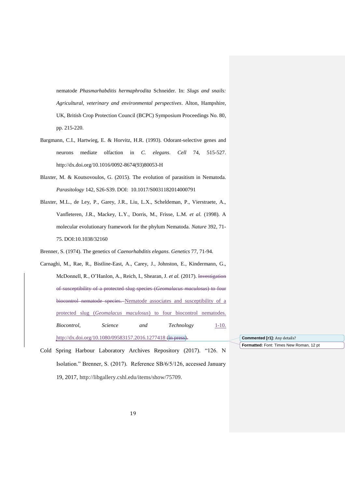nematode *Phasmarhabditis hermaphrodita* Schneider. In: *Slugs and snails: Agricultural, veterinary and environmental perspectives*. Alton, Hampshire, UK, British Crop Protection Council (BCPC) Symposium Proceedings No. 80*,* pp. 215-220.

- Bargmann, C.I., Hartwieg, E. & Horvitz, H.R. (1993). Odorant-selective genes and neurons mediate olfaction in *C. elegans*. *Cell* 74, 515-527. http://dx.doi.org/10.1016/0092-8674(93)80053-H
- Blaxter, M. & Koutsovoulos, G. (2015). The evolution of parasitism in Nematoda. *Parasitology* 142, S26-S39. DOI: 10.1017/S0031182014000791
- Blaxter, M.L., de Ley, P., Garey, J.R., Liu, L.X., Scheldeman, P., Vierstraete, A., Vanfleteren, J.R., Mackey, L.Y., Dorris, M., Frisse, L.M. *et al.* (1998). A molecular evolutionary framework for the phylum Nematoda. *Nature* 392, 71- 75. DOI:10.1038/32160

Brenner, S. (1974). The genetics of *Caenorhabditis elegans*. *Genetics* 77, 71-94.

- Carnaghi, M., Rae, R., Bistline-East, A., Carey, J., Johnston, E., Kindermann, G., McDonnell, R., O'Hanlon, A., Reich, I., Shearan, J. *et al.* (2017). Investigation of susceptibility of a protected slug species (*Geomalacus maculosus*) to four biocontrol nematode species. Nematode associates and susceptibility of a protected slug (*Geomalacus maculosus*) to four biocontrol nematodes. *Biocontrol, Science and Technology* 1-10. http://dx.doi.org/10.1080/09583157.2016.1277418 (in press).
- Cold Spring Harbour Laboratory Archives Repository (2017). "126. N Isolation." Brenner, S. (2017). Reference SB/6/5/126, accessed January 19, 2017, http://libgallery.cshl.edu/items/show/75709.

**Formatted:** Font: Times New Roman, 12 pt **Commented [r1]:** Any details?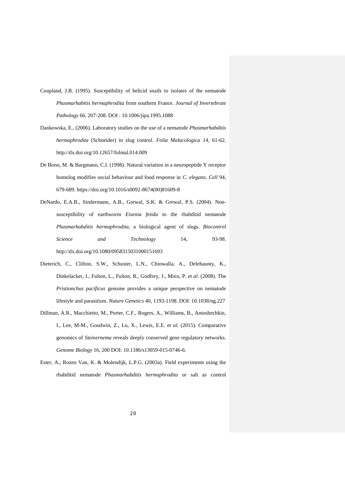- Coupland, J.B. (1995). Susceptibility of helicid snails to isolates of the nematode *Phasmarhabitis hermaphrodita* from southern France. *Journal of Invertebrate Pathology* 66, 207-208. DOI : 10.1006/jipa.1995.1088
- Dankowska, E., (2006). Laboratory studies on the use of a nematode *Phasmarhabditis hermaphrodita* (Schneider) in slug control. *Folia Malacologica 14,* 61-62. http://dx.doi.org/10.12657/folmal.014.009
- De Bono, M. & Bargmann, C.I. (1998). Natural variation in a neuropeptide Y receptor homolog modifies social behaviour and food response in *C. elegans*. *Cell* 94, 679-689. https://doi.org/10.1016/s0092-8674(00)81609-8
- DeNardo, E.A.B., Sindermann, A.B., Grewal, S.K. & Grewal, P.S. (2004). Nonsusceptibility of earthworm *Eisenia fetida* to the rhabditid nematode *Phasmarhabditis hermaphrodita*, a biological agent of slugs. *Biocontrol Science and Technology* 14, 93-98. http://dx.doi.org/10.1080/0958315031000151693
- Dieterich, C., Clifton, S.W., Schuster, L.N., Chinwalla, A., Delehaunty, K., Dinkelacker, I., Fulton, L., Fulton, R., Godfrey, J., Minx, P. *et al*. (2008). The *Pristionchus pacificus* genome provides a unique perspective on nematode lifestyle and parasitism. *Nature Genetics* 40, 1193-1198. DOI: 10.1038/ng.227
- Dillman, A.R., Macchietto, M., Porter, C.F., Rogers, A., Williams, B., Antoshechkin, I., Lee, M-M., Goodwin, Z., Lu, X., Lewis, E.E. *et al.* (2015). Comparative genomics of *Steinernema* reveals deeply conserved gene regulatory networks. *Genome Biology* 16, 200 DOI: 10.1186/s13059-015-0746-6.
- Ester, A., Rozen Van, K. & Molendijk, L.P.G. (2003a). Field experiments using the rhabditid nematode *Phasmarhabditis hermaphrodita* or salt as control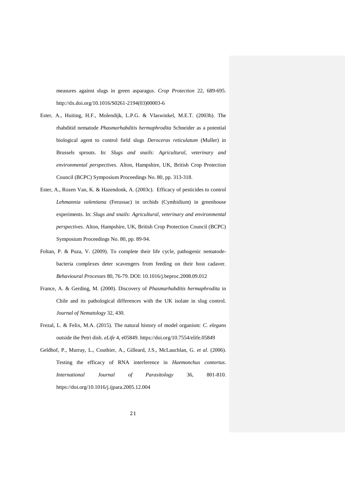measures against slugs in green asparagus. *Crop Protection* 22, 689-695. http://dx.doi.org/10.1016/S0261-2194(03)00003-6

- Ester, A., Huiting, H.F., Molendijk, L.P.G. & Vlaswinkel, M.E.T. (2003b). The rhabditid nematode *Phasmarhabditis hermaphrodita* Schneider as a potential biological agent to control field slugs *Deroceras reticulatum* (Muller) in Brussels sprouts. In: *Slugs and snails: Agricultural, veterinary and environmental perspectives*. Alton, Hampshire, UK, British Crop Protection Council (BCPC) Symposium Proceedings No. 80*,* pp. 313-318.
- Ester, A., Rozen Van, K. & Hazendonk, A. (2003c). Efficacy of pesticides to control *Lehmannia valentiana* (Ferussac) in orchids (Cymbidium) in greenhouse experiments. In: *Slugs and snails: Agricultural, veterinary and environmental perspectives*. Alton, Hampshire, UK, British Crop Protection Council (BCPC) Symposium Proceedings No. 80, pp. 89-94.
- Foltan, P. & Puza, V. (2009). To complete their life cycle, pathogenic nematodebacteria complexes deter scavengers from feeding on their host cadaver. *Behavioural Processes* 80, 76-79. DOI: 10.1016/j.beproc.2008.09.012
- France, A. & Gerding, M. (2000). Discovery of *Phasmarhabditis hermaphrodita* in Chile and its pathological differences with the UK isolate in slug control. *Journal of Nematology* 32, 430.
- Frezal, L. & Felix, M.A. (2015). The natural history of model organism: *C. elegans* outside the Petri dish. *eLife* 4, e05849. https://doi.org/10.7554/elife.05849
- Geldhof, P., Murray, L., Couthier, A., Gilleard, J.S., McLauchlan, G. *et al*. (2006). Testing the efficacy of RNA interference in *Haemonchus contortus*. *International Journal of Parasitology* 36, 801-810. https://doi.org/10.1016/j.ijpara.2005.12.004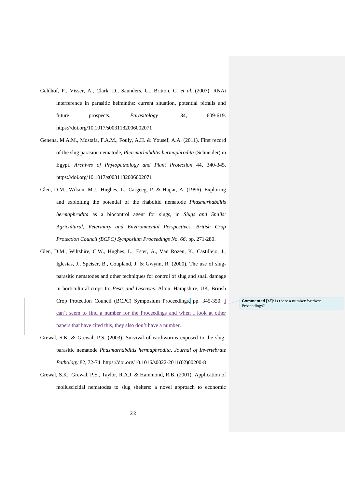- Geldhof, P., Visser, A., Clark, D., Saunders, G., Britton, C. *et al*. (2007). RNAi interference in parasitic helminths: current situation, potential pitfalls and future prospects. *Parasitology* 134, 609-619. https://doi.org/10.1017/s0031182006002071
- Genena, M.A.M., Mostafa, F.A.M., Fouly, A.H. & Yousef, A.A. (2011). First record of the slug parasitic nematode, *Phasmarhabditis hermaphrodita* (Schneider) in Egypt. *Archives of Phytopathology and Plant Protection* 44, 340-345. https://doi.org/10.1017/s0031182006002071
- Glen, D.M., Wilson, M.J., Hughes, L., Cargeeg, P. & Hajjar, A. (1996). Exploring and exploiting the potential of the rhabditid nematode *Phasmarhabditis hermaphrodita* as a biocontrol agent for slugs, in *Slugs and Snails: Agricultural, Veterinary and Environmental Perspectives. British Crop Protection Council (BCPC) Symposium Proceedings No. 66, pp. 271-280.*
- Glen, D.M., Wiltshire, C.W., Hughes, L., Ester, A., Van Rozen, K., Castillejo, J., Iglesias, J., Speiser, B., Coupland, J. & Gwynn, R. (2000). The use of slugparasitic nematodes and other techniques for control of slug and snail damage in horticultural crops In: *Pests and Diseases*. Alton, Hampshire, UK, British Crop Protection Council (BCPC) Symposium Proceedings, pp. 345-350. I can't seem to find a number for the Proceedings and when I look at other papers that have cited this, they also don't have a number.
- **Commented [r2]:** Is there a number for these Proceedings?
- Grewal, S.K. & Grewal, P.S. (2003). Survival of earthworms exposed to the slugparasitic nematode *Phasmarhabditis hermaphrodita*. *Journal of Invertebrate Pathology* 82, 72-74. https://doi.org/10.1016/s0022-2011(02)00200-8
- Grewal, S.K., Grewal, P.S., Taylor, R.A.J. & Hammond, R.B. (2001). Application of molluscicidal nematodes to slug shelters: a novel approach to economic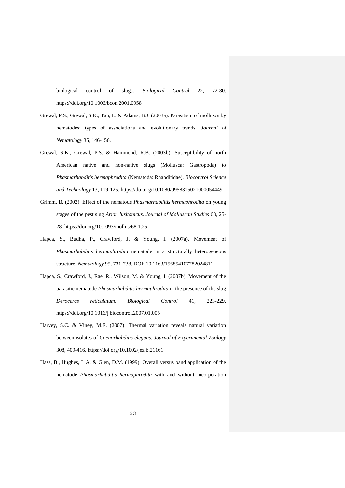biological control of slugs. *Biological Control* 22, 72-80. https://doi.org/10.1006/bcon.2001.0958

- Grewal, P.S., Grewal, S.K., Tan, L. & Adams, B.J. (2003a). Parasitism of molluscs by nematodes: types of associations and evolutionary trends. *Journal of Nematology* 35, 146-156.
- Grewal, S.K., Grewal, P.S. & Hammond, R.B. (2003b). Susceptibility of north American native and non-native slugs (Mollusca: Gastropoda) to *Phasmarhabditis hermaphrodita* (Nematoda: Rhabditidae). *Biocontrol Science and Technology* 13, 119-125. https://doi.org/10.1080/0958315021000054449
- Grimm, B. (2002). Effect of the nematode *Phasmarhabditis hermaphrodita* on young stages of the pest slug *Arion lusitanicus*. *Journal of Molluscan Studies* 68, 25- 28. https://doi.org/10.1093/mollus/68.1.25
- Hapca, S., Budha, P., Crawford, J. & Young, I. (2007a). Movement of *Phasmarhabditis hermaphrodita* nematode in a structurally heterogeneous structure. *Nematology* 95, 731-738. DOI: 10.1163/156854107782024811
- Hapca, S., Crawford, J., Rae, R., Wilson, M. & Young, I. (2007b). Movement of the parasitic nematode *Phasmarhabditis hermaphrodita* in the presence of the slug *Deroceras reticulatum*. *Biological Control* 41, 223-229. https://doi.org/10.1016/j.biocontrol.2007.01.005
- Harvey, S.C. & Viney, M.E. (2007). Thermal variation reveals natural variation between isolates of *Caenorhabditis elegans*. *Journal of Experimental Zoology* 308, 409-416. https://doi.org/10.1002/jez.b.21161
- Hass, B., Hughes, L.A. & Glen, D.M. (1999). Overall versus band application of the nematode *Phasmarhabditis hermaphrodita* with and without incorporation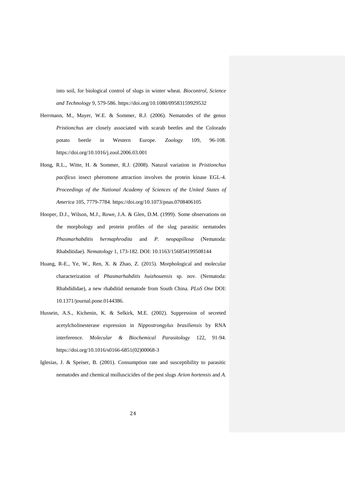into soil, for biological control of slugs in winter wheat. *Biocontrol, Science and Technology* 9, 579-586. https://doi.org/10.1080/09583159929532

- Herrmann, M., Mayer, W.E. & Sommer, R.J. (2006). Nematodes of the genus *Pristionchus* are closely associated with scarab beetles and the Colorado potato beetle in Western Europe. *Zoology* 109, 96-108. https://doi.org/10.1016/j.zool.2006.03.001
- Hong, R.L., Witte, H. & Sommer, R.J. (2008). Natural variation in *Pristionchus pacificus* insect pheromone attraction involves the protein kinase EGL-4. *Proceedings of the National Academy of Sciences of the United States of America* 105, 7779-7784. https://doi.org/10.1073/pnas.0708406105
- Hooper, D.J., Wilson, M.J., Rowe, J.A. & Glen, D.M. (1999). Some observations on the morphology and protein profiles of the slug parasitic nematodes *Phasmarhabditis hermaphrodita* and *P. neopapillosa* (Nematoda: Rhabditidae). *Nematology* 1, 173-182. DOI: 10.1163/156854199508144
- Huang, R-E., Ye, W., Ren, X. & Zhao, Z. (2015). Morphological and molecular characterization of *Phasmarhabditis huizhouensis* sp. nov. (Nematoda: Rhabdididae), a new rhabditid nematode from South China. *PLoS One* DOI: 10.1371/journal.pone.0144386.
- Hussein, A.S., Kichenin, K. & Selkirk, M.E. (2002). Suppression of secreted acetylcholinesterase expression in *Nippostrongylus brasiliensis* by RNA interference. *Molecular & Biochemical Parasitology* 122, 91-94. https://doi.org/10.1016/s0166-6851(02)00068-3
- Iglesias, J. & Speiser, B. (2001). Consumption rate and susceptibility to parasitic nematodes and chemical molluscicides of the pest slugs *Arion hortensis* and *A.*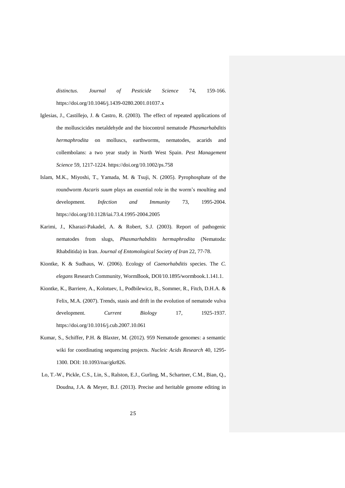*distinctus*. *Journal of Pesticide Science* 74, 159-166. https://doi.org/10.1046/j.1439-0280.2001.01037.x

- Iglesias, J., Castillejo, J. & Castro, R. (2003). The effect of repeated applications of the molluscicides metaldehyde and the biocontrol nematode *Phasmarhabditis hermaphrodita* on molluscs, earthworms, nematodes, acarids and collembolans: a two year study in North West Spain. *Pest Management Science* 59, 1217-1224. https://doi.org/10.1002/ps.758
- Islam, M.K., Miyoshi, T., Yamada, M. & Tsuji, N. (2005). Pyrophosphate of the roundworm *Ascaris suum* plays an essential role in the worm's moulting and development. *Infection and Immunity* 73, 1995-2004. https://doi.org/10.1128/iai.73.4.1995-2004.2005
- Karimi, J., Kharazi-Pakadel, A. & Robert, S.J. (2003). Report of pathogenic nematodes from slugs, *Phasmarhabditis hermaphrodita* (Nematoda: Rhabditida) in Iran. *Journal of Entomological Society of Iran* 22, 77-78.
- Kiontke, K & Sudhaus, W. (2006). Ecology of *Caenorhabditis* species. The *C. elegans* Research Community, WormBook, DOI/10.1895/wormbook.1.141.1.
- Kiontke, K., Barriere, A., Kolotuev, I., Podbilewicz, B., Sommer, R., Fitch, D.H.A. & Felix, M.A. (2007). Trends, stasis and drift in the evolution of nematode vulva development. *Current Biology* 17, 1925-1937. https://doi.org/10.1016/j.cub.2007.10.061
- Kumar, S., Schiffer, P.H. & Blaxter, M. (2012). 959 Nematode genomes: a semantic wiki for coordinating sequencing projects. *Nucleic Acids Research* 40, 1295- 1300. DOI: 10.1093/nar/gkr826.
- Lo, T.-W., Pickle, C.S., Lin, S., Ralston, E.J., Gurling, M., Schartner, C.M., Bian, Q., Doudna, J.A. & Meyer, B.J. (2013). Precise and heritable genome editing in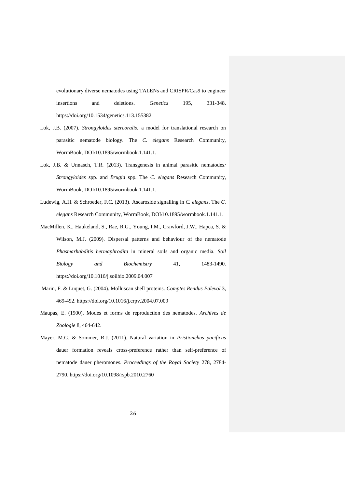evolutionary diverse nematodes using TALENs and CRISPR/Cas9 to engineer insertions and deletions. *Genetics* 195, 331-348. https://doi.org/10.1534/genetics.113.155382

- Lok, J.B. (2007). *Strongyloides stercoralis:* a model for translational research on parasitic nematode biology. The *C. elegans* Research Community, WormBook, DOI/10.1895/wormbook.1.141.1.
- Lok, J.B. & Unnasch, T.R. (2013). Transgenesis in animal parasitic nematodes*: Strongyloides* spp. and *Brugia* spp*.* The *C. elegans* Research Community, WormBook, DOI/10.1895/wormbook.1.141.1.
- Ludewig, A.H. & Schroeder, F.C. (2013). Ascaroside signalling in *C. elegans*. The *C. elegans* Research Community, WormBook, DOI/10.1895/wormbook.1.141.1.
- MacMillen, K., Haukeland, S., Rae, R.G., Young, I.M., Crawford, J.W., Hapca, S. & Wilson, M.J. (2009). Dispersal patterns and behaviour of the nematode *Phasmarhabditis hermaphrodita* in mineral soils and organic media. *Soil Biology and Biochemistry* 41, 1483-1490. https://doi.org/10.1016/j.soilbio.2009.04.007
- Marin, F. & Luquet, G. (2004). Molluscan shell proteins. *Comptes Rendus Palevol* 3, 469-492. https://doi.org/10.1016/j.crpv.2004.07.009
- Maupas, E. (1900). Modes et forms de reproduction des nematodes. *Archives de Zoologie* 8, 464-642.
- Mayer, M.G. & Sommer, R.J. (2011). Natural variation in *Pristionchus pacificus* dauer formation reveals cross-preference rather than self-preference of nematode dauer pheromones. *Proceedings of the Royal Society* 278, 2784- 2790. https://doi.org/10.1098/rspb.2010.2760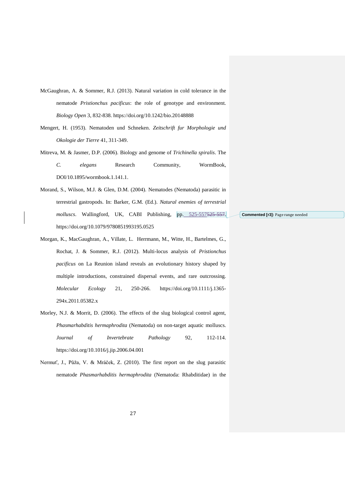- McGaughran, A. & Sommer, R.J. (2013). Natural variation in cold tolerance in the nematode *Pristionchus pacificus*: the role of genotype and environment. *Biology Open* 3, 832-838. https://doi.org/10.1242/bio.20148888
- Mengert, H. (1953). Nematoden und Schneken. *Zeitschrift fur Morphologie und Okologie der Tierre* 41, 311-349.
- Mitreva, M. & Jasmer, D.P. (2006). Biology and genome of *Trichinella spiralis*. The *C. elegans* Research Community, WormBook, DOI/10.1895/wormbook.1.141.1.
- Morand, S., Wilson, M.J. & Glen, D.M. (2004). Nematodes (Nematoda) parasitic in terrestrial gastropods. In: Barker, G.M. (Ed.). *Natural enemies of terrestrial molluscs*. Wallingford, UK, CABI Publishing, pp. 525-557525-557. https://doi.org/10.1079/9780851993195.0525
- Morgan, K., MacGaughran, A., Villate, L. Herrmann, M., Witte, H., Bartelmes, G., Rochat, J. & Sommer, R.J. (2012). Multi-locus analysis of *Pristionchus pacificus* on La Reunion island reveals an evolutionary history shaped by multiple introductions, constrained dispersal events, and rare outcrossing. *Molecular Ecology* 21, 250-266. https://doi.org/10.1111/j.1365- 294x.2011.05382.x
- Morley, N.J. & Morrit, D. (2006). The effects of the slug biological control agent, *Phasmarhabditis hermaphrodita* (Nematoda) on non-target aquatic molluscs. *Journal of Invertebrate Pathology* 92, 112-114. https://doi.org/10.1016/j.jip.2006.04.001
- Nermuť, J., Půža, V. & Mráček, Z. (2010). The first report on the slug parasitic nematode *Phasmarhabditis hermaphrodita* (Nematoda: Rhabditidae) in the

**Commented [r3]:** Page range needed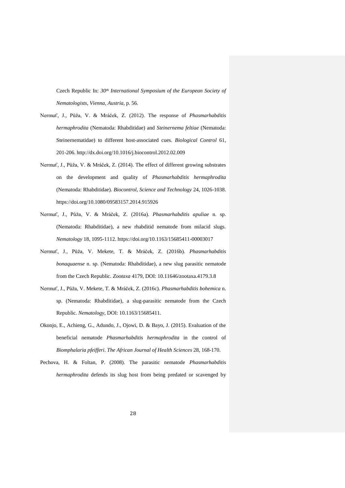Czech Republic In: *30th International Symposium of the European Society of Nematologists, Vienna, Austria,* p. 56.

- Nermuť, J., Půža, V. & Mráček, Z. (2012). The response of *Phasmarhabditis hermaphrodita* (Nematoda: Rhabditidae) and *Steinernema feltiae* (Nematoda: Steinernematidae) to different host-associated cues. *Biological Control* 61, 201-206. http://dx.doi.org/10.1016/j.biocontrol.2012.02.009
- Nermuť, J., Půža, V. & Mráček, Z. (2014). The effect of different growing substrates on the development and quality of *Phasmarhabditis hermaphrodita* (Nematoda: Rhabditidae). *Biocontrol, Science and Technology* 24, 1026-1038. https://doi.org/10.1080/09583157.2014.915926
- Nermuť, J., Půža, V. & Mráček, Z. (2016a). *Phasmarhabditis apuliae* n. sp. (Nematoda: Rhabditidae), a new rhabditid nematode from milacid slugs. *Nematology* 18, 1095-1112. https://doi.org/10.1163/15685411-00003017
- Nermuť, J., Půža, V. Mekete, T. & Mráček, Z. (2016b). *Phasmarhabditis bonaquaense* n. sp. (Nematoda: Rhabditidae), a new slug parasitic nematode from the Czech Republic. *Zootaxa* 4179, DOI: 10.11646/zootaxa.4179.3.8
- Nermuť, J., Půža, V. Mekete, T. & Mráček, Z. (2016c). *Phasmarhabditis bohemica* n. sp. (Nematoda: Rhabditidae), a slug-parasitic nematode from the Czech Republic. *Nematology*, DOI: 10.1163/15685411.
- Okonjo, E., Achieng, G., Adundo, J., Ojowi, D. & Bayo, J. (2015). Evaluation of the beneficial nematode *Phasmarhabditis hermaphrodita* in the control of *Biomphalaria pfeifferi*. *The African Journal of Health Sciences* 28, 168-170.
- Pechova, H. & Foltan, P. (2008). The parasitic nematode *Phasmarhabditis hermaphrodita* defends its slug host from being predated or scavenged by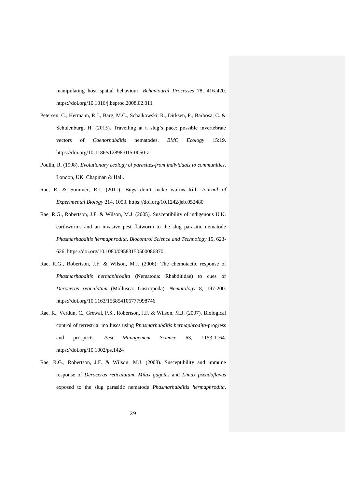manipulating host spatial behaviour. *Behavioural Processes* 78, 416-420. https://doi.org/10.1016/j.beproc.2008.02.011

- Petersen, C., Hermann, R.J., Barg, M.C., Schalkowski, R., Dirksen, P., Barbosa, C. & Schulenburg, H. (2015). Travelling at a slug's pace: possible invertebrate vectors of *Caenorhabditis* nematodes. *BMC Ecology* 15:19. https://doi.org/10.1186/s12898-015-0050-z
- Poulin, R. (1998). *Evolutionary ecology of parasites-from individuals to communities*. London, UK, Chapman & Hall.
- Rae, R. & Sommer, R.J. (2011). Bugs don't make worms kill. *Journal of Experimental Biology* 214, 1053. https://doi.org/10.1242/jeb.052480
- Rae, R.G., Robertson, J.F. & Wilson, M.J. (2005). Susceptibility of indigenous U.K. earthworms and an invasive pest flatworm to the slug parasitic nematode *Phasmarhabditis hermaphrodita*. *Biocontrol Science and Technology* 15, 623- 626. https://doi.org/10.1080/09583150500086870
- Rae, R.G., Robertson, J.F. & Wilson, M.J. (2006). The chemotactic response of *Phasmarhabditis hermaphrodita* (Nematoda: Rhabditidae) to cues of *Deroceras reticulatum* (Mollusca: Gastropoda). *Nematology* 8, 197-200. https://doi.org/10.1163/156854106777998746
- Rae, R., Verdun, C., Grewal, P.S., Robertson, J.F. & Wilson, M.J. (2007). Biological control of terrestrial molluscs using *Phasmarhabditis hermaphrodita*-progress and prospects. *Pest Management Science* 63, 1153-1164. https://doi.org/10.1002/ps.1424
- Rae, R.G., Robertson, J.F. & Wilson, M.J. (2008). Susceptibility and immune response of *Deroceras reticulatum*, *Milax gagates* and *Limax pseudoflavus* exposed to the slug parasitic nematode *Phasmarhabditis hermaphrodita*.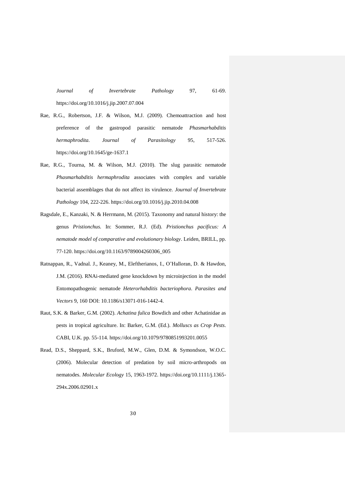*Journal of Invertebrate Pathology* 97, 61-69. https://doi.org/10.1016/j.jip.2007.07.004

- Rae, R.G., Robertson, J.F. & Wilson, M.J. (2009). Chemoattraction and host preference of the gastropod parasitic nematode *Phasmarhabditis hermaphrodita. Journal of Parasitology* 95, 517-526. https://doi.org/10.1645/ge-1637.1
- Rae, R.G., Tourna, M. & Wilson, M.J. (2010). The slug parasitic nematode *Phasmarhabditis hermaphrodita* associates with complex and variable bacterial assemblages that do not affect its virulence. *Journal of Invertebrate Pathology* 104, 222-226. https://doi.org/10.1016/j.jip.2010.04.008
- Ragsdale, E., Kanzaki, N. & Herrmann, M. (2015). Taxonomy and natural history: the genus *Pristionchus.* In: Sommer, R.J. (Ed). *Pristionchus pacificus: A nematode model of comparative and evolutionary biology*. Leiden, BRILL, pp. 77-120. https://doi.org/10.1163/9789004260306\_005
- Ratnappan, R., Vadnal. J., Keaney, M., Eleftherianos, I., O'Halloran, D. & Hawdon, J.M. (2016). RNAi-mediated gene knockdown by microinjection in the model Entomopathogenic nematode *Heterorhabditis bacteriophora*. *Parasites and Vectors* 9, 160 DOI: 10.1186/s13071-016-1442-4.
- Raut, S.K. & Barker, G.M. (2002). *Achatina fulica* Bowdich and other Achatinidae as pests in tropical agriculture. In: Barker, G.M. (Ed.). *Molluscs as Crop Pests*. CABI, U.K. pp. 55-114. https://doi.org/10.1079/9780851993201.0055
- Read, D.S., Sheppard, S.K., Bruford, M.W., Glen, D.M. & Symondson, W.O.C. (2006). Molecular detection of predation by soil micro-arthropods on nematodes. *Molecular Ecology* 15, 1963-1972. https://doi.org/10.1111/j.1365- 294x.2006.02901.x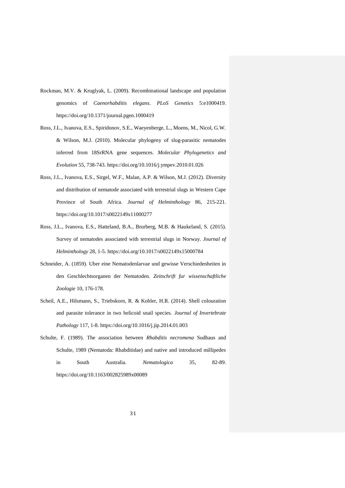- Rockman, M.V. & Kruglyak, L. (2009). Recombinational landscape and population genomics of *Caenorhabditis elegans*. *PLoS Genetics* 5:e1000419. https://doi.org/10.1371/journal.pgen.1000419
- Ross, J.L., Ivanova, E.S., Spiridonov, S.E., Waeyenberge, L., Moens, M., Nicol, G.W. & Wilson, M.J. (2010). Molecular phylogeny of slug-parasitic nematodes inferred from 18SrRNA gene sequences. *Molecular Phylogenetics and Evolution* 55, 738-743. https://doi.org/10.1016/j.ympev.2010.01.026
- Ross, J.L., Ivanova, E.S., Sirgel, W.F., Malan, A.P. & Wilson, M.J. (2012). Diversity and distribution of nematode associated with terrestrial slugs in Western Cape Province of South Africa. *Journal of Helminthology* 86, 215-221. https://doi.org/10.1017/s0022149x11000277
- Ross, J.L., Ivanova, E.S., Hatteland, B.A., Brurberg, M.B. & Haukeland, S. (2015). Survey of nematodes associated with terrestrial slugs in Norway. *Journal of Helminthology* 28, 1-5. https://doi.org/10.1017/s0022149x15000784
- Schneider, A. (1859). Uber eine Nematodenlarvae und gewisse Verschiedenheiten in den Geschlechtsorganen der Nematoden. *Zeitschrift fur wissenschaftliche Zoologie* 10, 176-178.
- Scheil, A.E., Hilsmann, S., Triebskorn, R. & Kohler, H.R. (2014). Shell colouration and parasite tolerance in two helicoid snail species. *Journal of Invertebrate Pathology* 117, 1-8. https://doi.org/10.1016/j.jip.2014.01.003
- Schulte, F. (1989). The association between *Rhabditis necromena* Sudhaus and Schulte, 1989 (Nematoda: Rhabditidae) and native and introduced millipedes in South Australia. *Nematologica* 35, 82-89. https://doi.org/10.1163/002825989x00089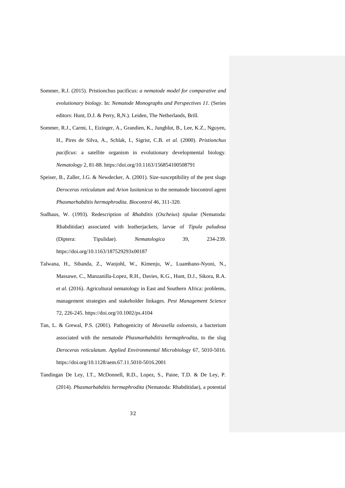- Sommer, R.J. (2015). Pristionchus pacificus: *a nematode model for comparative and evolutionary biology*. In: *Nematode Monographs and Perspectives 11.* (Series editors: Hunt, D.J. & Perry, R,N.). Leiden, The Netherlands, Brill.
- Sommer, R.J., Carmi, I., Eizinger, A., Grandien, K., Jungblut, B., Lee, K.Z., Nguyen, H., Pires de Silva, A., Schlak, I., Sigrist, C.B. *et al.* (2000). *Pristionchus pacificus*: a satellite organism in evolutionary developmental biology. *Nematology* 2, 81-88. https://doi.org/10.1163/156854100508791
- Speiser, B., Zaller, J.G. & Newdecker, A. (2001). Size-susceptibility of the pest slugs *Deroceras reticulatum* and *Arion lusitanicus* to the nematode biocontrol agent *Phasmarhabditis hermaphrodita*. *Biocontrol* 46, 311-320.
- Sudhaus, W. (1993). Redescription of *Rhabditis* (*Oscheius*) *tipulae* (Nematoda: Rhabditidae) associated with leatherjackets, larvae of *Tipula paludosa* (Diptera: Tipulidae). *Nematologica* 39, 234-239. https://doi.org/10.1163/187529293x00187
- Talwana, H., Sibanda, Z., Wanjohl, W., Kimenju, W., Luambano-Nyoni, N., Massawe, C., Manzanilla-Lopez, R.H., Davies, K.G., Hunt, D.J., Sikora, R.A. *et al.* (2016). Agricultural nematology in East and Southern Africa: problems, management strategies and stakeholder linkages. *Pest Management Science* 72, 226-245. https://doi.org/10.1002/ps.4104
- Tan, L. & Grewal, P.S. (2001). Pathogenicity of *Moraxella osloensis*, a bacterium associated with the nematode *Phasmarhabditis hermaphrodita*, to the slug *Deroceras reticulatum*. *Applied Environmental Microbiology* 67, 5010-5016. https://doi.org/10.1128/aem.67.11.5010-5016.2001
- Tandingan De Ley, I.T., McDonnell, R.D., Lopez, S., Paine, T.D. & De Ley, P. (2014). *Phasmarhabditis hermaphrodita* (Nematoda: Rhabditidae), a potential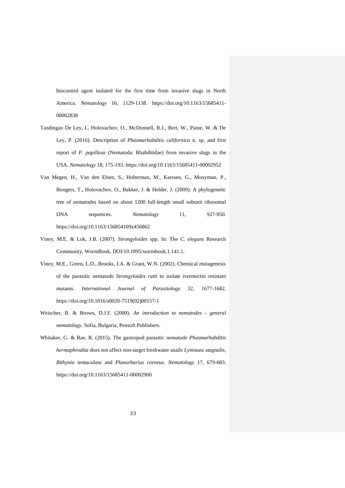biocontrol agent isolated for the first time from invasive slugs in North America. *Nematology* 16, 1129-1138. https://doi.org/10.1163/15685411- 00002838

- Tandingan De Ley, I., Holovachov, O., McDonnell, R.J., Bert, W., Paine, W. & De Ley, P. (2016). Description of *Phasmarhabditis californica* n. sp. and first report of *P. papillosa* (Nematoda: Rhabditidae) from invasive slugs in the USA. *Nematology* 18, 175-193. https://doi.org/10.1163/15685411-00002952
- Van Megen, H., Van den Elsen, S., Holterman, M., Karssen, G., Mooyman, P., Bongers, T., Holovachov, O., Bakker, J. & Helder, J. (2009). A phylogenetic tree of nematodes based on about 1200 full-length small subunit ribosomal DNA sequences. *Nematology* 11, 927-950. https://doi.org/10.1163/156854109x456862
- Viney, M.E. & Lok, J.B. (2007). *Strongyloides* spp. In: The *C. elegans* Research Community, WormBook, DOI/10.1895/wormbook.1.141.1.
- Viney, M.E., Green, L.D., Brooks, J.A. & Grant, W.N. (2002). Chemical mutagenesis of the parasitic nematode *Strongyloides ratti* to isolate ivermectin resistant mutants. *International Journal of Parasitology* 32, 1677-1682. https://doi.org/10.1016/s0020-7519(02)00157-1
- Weischer, B. & Brown, D.J.F. (2000). *An introduction to nematodes - general nematology*. Sofia, Bulgaria, Pensoft Publishers.
- Whitaker, G. & Rae, R. (2015). The gastropod parasitic nematode *Phasmarhabditis hermaphrodita* does not affect non-target freshwater snails *Lymnaea stagnalis*, *Bithynia tentaculata* and *Planorbarius corneus*. *Nematology* 17, 679-683. https://doi.org/10.1163/15685411-00002900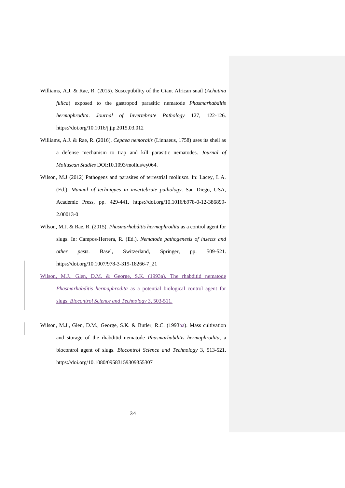- Williams, A.J. & Rae, R. (2015). Susceptibility of the Giant African snail (*Achatina fulica*) exposed to the gastropod parasitic nematode *Phasmarhabditis hermaphrodita*. *Journal of Invertebrate Pathology* 127, 122-126. https://doi.org/10.1016/j.jip.2015.03.012
- Williams, A.J. & Rae, R. (2016). *Cepaea nemoralis* (Linnaeus, 1758) uses its shell as a defense mechanism to trap and kill parasitic nematodes. *Journal of Molluscan Studies* DOI:10.1093/mollus/ey064.
- Wilson, M.J (2012) Pathogens and parasites of terrestrial molluscs. In: Lacey, L.A. (Ed.). *Manual of techniques in invertebrate pathology*. San Diego, USA, Academic Press, pp. 429-441. https://doi.org/10.1016/b978-0-12-386899- 2.00013-0
- Wilson, M.J. & Rae, R. (2015). *Phasmarhabditis hermaphrodita* as a control agent for slugs. In: Campos-Herrera, R. (Ed.). *Nematode pathogenesis of insects and other pests*. Basel, Switzerland, Springer, pp. 509-521. https://doi.org/10.1007/978-3-319-18266-7\_21
- Wilson, M.J., Glen, D.M. & George, S.K. (1993a). The rhabditid nematode *Phasmarhabditis hermaphrodita* as a potential biological control agent for slugs. *Biocontrol Science and Technology* 3, 503-511.
- Wilson, M.J., Glen, D.M., George, S.K. & Butler, R.C. (1993ba). Mass cultivation and storage of the rhabditid nematode *Phasmarhabditis hermaphrodita,* a biocontrol agent of slugs. *Biocontrol Science and Technology* 3, 513-521. https://doi.org/10.1080/09583159309355307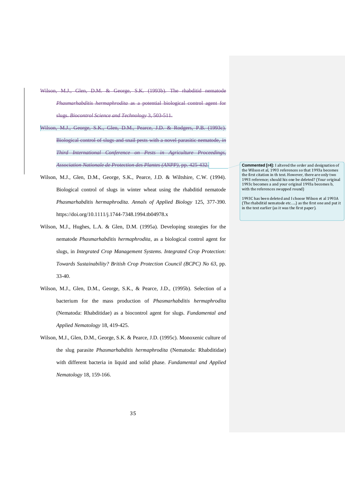- Wilson, M.J., Glen, D.M. & George, S.K. (1993b). The rhabditid nematode *Phasmarhabditis hermaphrodita* as a potential biological control agent for slugs. *Biocontrol Science and Technology* 3, 503-511.
- Wilson, M.J., George, S.K., Glen, D.M., Pearce, J.D. & Rodgers, P.B. (1993c). Biological control of slugs and snail pests with a novel parasitic nematode, *in Third International Conference on Pests in Agriculture Proceedings, Association Nationale de Protection des Plantes (ANPP)*, pp. 425-432.
- Wilson, M.J., Glen, D.M., George, S.K., Pearce, J.D. & Wiltshire, C.W. (1994). Biological control of slugs in winter wheat using the rhabditid nematode *Phasmarhabditis hermaphrodita*. *Annals of Applied Biology* 125, 377-390. https://doi.org/10.1111/j.1744-7348.1994.tb04978.x
- Wilson, M.J., Hughes, L.A. & Glen, D.M. (1995a). Developing strategies for the nematode *Phasmarhabditis hermaphrodita*, as a biological control agent for slugs, in *Integrated Crop Management Systems. Integrated Crop Protection: Towards Sustainability? British Crop Protection Council (BCPC) No 63*, pp. 33-40.
- Wilson, M.J., Glen, D.M., George, S.K., & Pearce, J.D., (1995b). Selection of a bacterium for the mass production of *Phasmarhabditis hermaphrodita* (Nematoda: Rhabditidae) as a biocontrol agent for slugs. *Fundamental and Applied Nematology* 18, 419-425.
- Wilson, M.J., Glen, D.M., George, S.K. & Pearce, J.D. (1995c). Monoxenic culture of the slug parasite *Phasmarhabditis hermaphrodita* (Nematoda: Rhabditidae) with different bacteria in liquid and solid phase. *Fundamental and Applied Nematology* 18, 159-166.

**Commented [r4]:** I altered the order and designation of the Wilson et al, 1993 references so that 1993a becomes the first citation in th text. However, there are only two 1993 reference; should his one be deleted? (Your original 1993c becomes a and your original 1993a becomes b, with the references swapped round)

1993C has been deleted and I choose Wilson et al 1993A (The rhabditid nematode etc.….) as the first one and put it in the text earlier (as it was the first paper).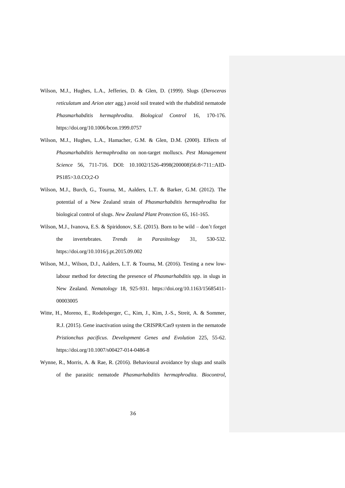- Wilson, M.J., Hughes, L.A., Jefferies, D. & Glen, D. (1999). Slugs (*Deroceras reticulatum* and *Arion ater* agg.) avoid soil treated with the rhabditid nematode *Phasmarhabditis hermaphrodita*. *Biological Control* 16, 170-176. https://doi.org/10.1006/bcon.1999.0757
- Wilson, M.J., Hughes, L.A., Hamacher, G.M. & Glen, D.M. (2000). Effects of *Phasmarhabditis hermaphrodita* on non-target molluscs. *Pest Management Science* 56, 711-716. DOI: 10.1002/1526-4998(200008)56:8<711::AID-PS185>3.0.CO;2-O
- Wilson, M.J., Burch, G., Tourna, M., Aalders, L.T. & Barker, G.M. (2012). The potential of a New Zealand strain of *Phasmarhabditis hermaphrodita* for biological control of slugs. *New Zealand Plant Protection* 65, 161-165.
- Wilson, M.J., Ivanova, E.S. & Spiridonov, S.E. (2015). Born to be wild don't forget the invertebrates. *Trends in Parasitology* 31, 530-532. https://doi.org/10.1016/j.pt.2015.09.002
- Wilson, M.J., Wilson, D.J., Aalders, L.T. & Tourna, M. (2016). Testing a new lowlabour method for detecting the presence of *Phasmarhabditis* spp. in slugs in New Zealand. *Nematology* 18, 925-931. https://doi.org/10.1163/15685411- 00003005
- Witte, H., Moreno, E., Rodelsperger, C., Kim, J., Kim, J.-S., Streit, A. & Sommer, R.J. (2015). Gene inactivation using the CRISPR/Cas9 system in the nematode *Pristionchus pacificus*. *Development Genes and Evolution* 225, 55-62. https://doi.org/10.1007/s00427-014-0486-8
- Wynne, R., Morris, A. & Rae, R. (2016). Behavioural avoidance by slugs and snails of the parasitic nematode *Phasmarhabditis hermaphrodita*. *Biocontrol,*